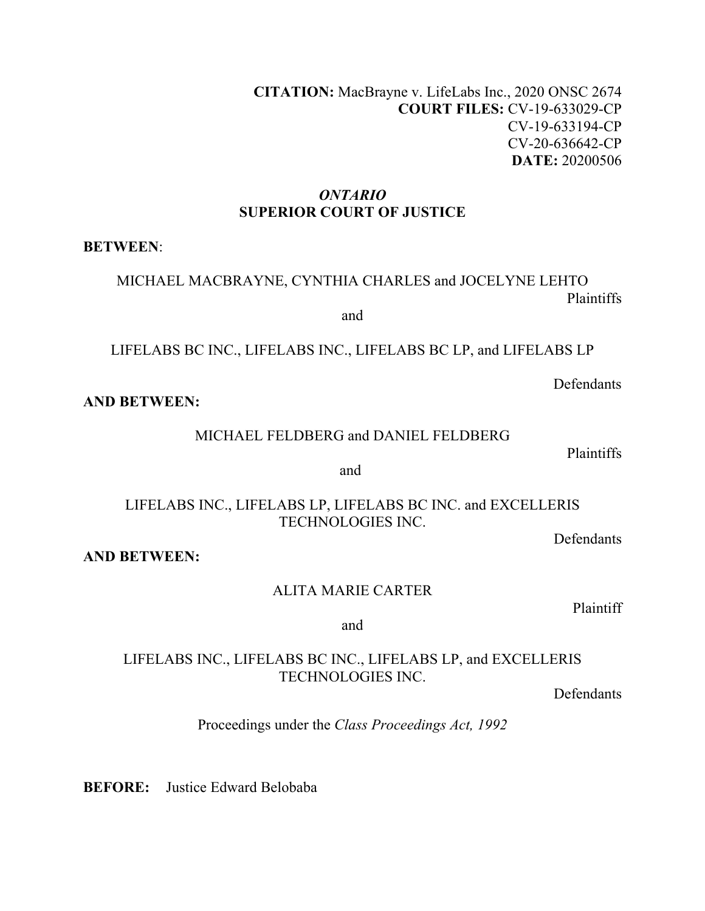**CITATION:** MacBrayne v. LifeLabs Inc., 2020 ONSC 2674 **COURT FILES:** CV-19-633029-CP CV-19-633194-CP CV-20-636642-CP **DATE:** 20200506

#### *ONTARIO* **SUPERIOR COURT OF JUSTICE**

**BETWEEN**:

MICHAEL MACBRAYNE, CYNTHIA CHARLES and JOCELYNE LEHTO Plaintiffs

and

LIFELABS BC INC., LIFELABS INC., LIFELABS BC LP, and LIFELABS LP

Defendants

**AND BETWEEN:** 

MICHAEL FELDBERG and DANIEL FELDBERG

Plaintiffs

and

LIFELABS INC., LIFELABS LP, LIFELABS BC INC. and EXCELLERIS TECHNOLOGIES INC.

Defendants

**AND BETWEEN:** 

ALITA MARIE CARTER

Plaintiff

and

### LIFELABS INC., LIFELABS BC INC., LIFELABS LP, and EXCELLERIS TECHNOLOGIES INC.

Defendants

Proceedings under the *Class Proceedings Act, 1992*

**BEFORE:** Justice Edward Belobaba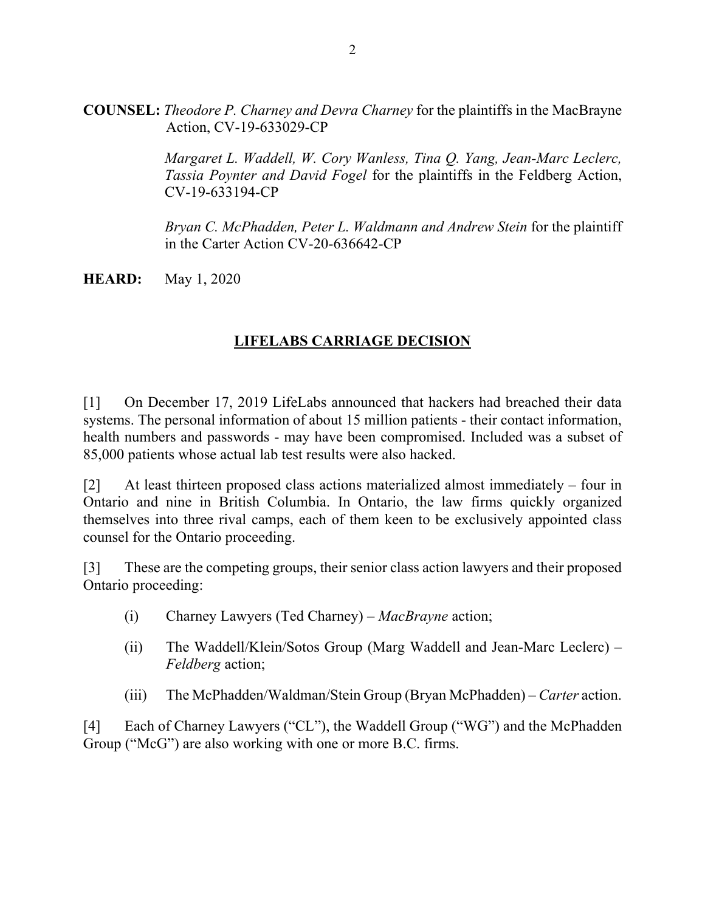**COUNSEL:** *Theodore P. Charney and Devra Charney* for the plaintiffs in the MacBrayne Action, CV-19-633029-CP

> *Margaret L. Waddell, W. Cory Wanless, Tina Q. Yang, Jean-Marc Leclerc, Tassia Poynter and David Fogel* for the plaintiffs in the Feldberg Action, CV-19-633194-CP

> *Bryan C. McPhadden, Peter L. Waldmann and Andrew Stein* for the plaintiff in the Carter Action CV-20-636642-CP

**HEARD:** May 1, 2020

## **LIFELABS CARRIAGE DECISION**

[1] On December 17, 2019 LifeLabs announced that hackers had breached their data systems. The personal information of about 15 million patients - their contact information, health numbers and passwords - may have been compromised. Included was a subset of 85,000 patients whose actual lab test results were also hacked.

[2] At least thirteen proposed class actions materialized almost immediately – four in Ontario and nine in British Columbia. In Ontario, the law firms quickly organized themselves into three rival camps, each of them keen to be exclusively appointed class counsel for the Ontario proceeding.

[3] These are the competing groups, their senior class action lawyers and their proposed Ontario proceeding:

- (i) Charney Lawyers (Ted Charney) *MacBrayne* action;
- (ii) The Waddell/Klein/Sotos Group (Marg Waddell and Jean-Marc Leclerc) *Feldberg* action;
- (iii) The McPhadden/Waldman/Stein Group (Bryan McPhadden) *Carter* action.

[4] Each of Charney Lawyers ("CL"), the Waddell Group ("WG") and the McPhadden Group ("McG") are also working with one or more B.C. firms.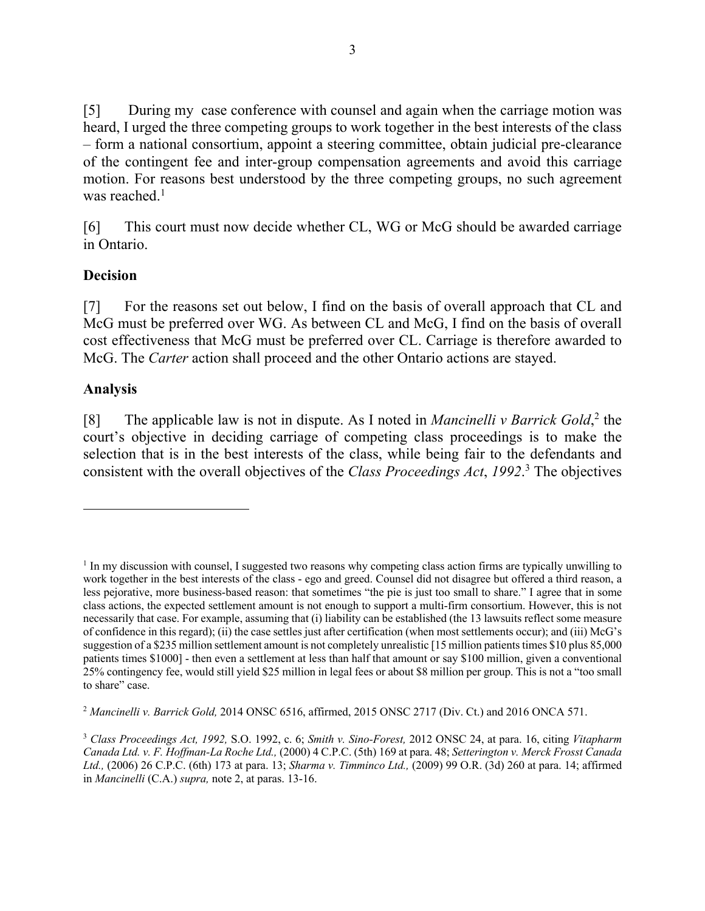[5] During my case conference with counsel and again when the carriage motion was heard, I urged the three competing groups to work together in the best interests of the class – form a national consortium, appoint a steering committee, obtain judicial pre-clearance of the contingent fee and inter-group compensation agreements and avoid this carriage motion. For reasons best understood by the three competing groups, no such agreement was reached. $1$ 

[6] This court must now decide whether CL, WG or McG should be awarded carriage in Ontario.

#### **Decision**

[7] For the reasons set out below, I find on the basis of overall approach that CL and McG must be preferred over WG. As between CL and McG, I find on the basis of overall cost effectiveness that McG must be preferred over CL. Carriage is therefore awarded to McG. The *Carter* action shall proceed and the other Ontario actions are stayed.

### **Analysis**

[8] The applicable law is not in dispute. As I noted in *Mancinelli v Barrick Gold*, <sup>2</sup> the court's objective in deciding carriage of competing class proceedings is to make the selection that is in the best interests of the class, while being fair to the defendants and consistent with the overall objectives of the *Class Proceedings Act*, *1992*. <sup>3</sup> The objectives

<sup>&</sup>lt;sup>1</sup> In my discussion with counsel, I suggested two reasons why competing class action firms are typically unwilling to work together in the best interests of the class - ego and greed. Counsel did not disagree but offered a third reason, a less pejorative, more business-based reason: that sometimes "the pie is just too small to share." I agree that in some class actions, the expected settlement amount is not enough to support a multi-firm consortium. However, this is not necessarily that case. For example, assuming that (i) liability can be established (the 13 lawsuits reflect some measure of confidence in this regard); (ii) the case settles just after certification (when most settlements occur); and (iii) McG's suggestion of a \$235 million settlement amount is not completely unrealistic [15 million patients times \$10 plus 85,000 patients times \$1000] - then even a settlement at less than half that amount or say \$100 million, given a conventional 25% contingency fee, would still yield \$25 million in legal fees or about \$8 million per group. This is not a "too small to share" case.

<sup>2</sup> *Mancinelli v. Barrick Gold,* 2014 ONSC 6516, affirmed, 2015 ONSC 2717 (Div. Ct.) and 2016 ONCA 571.

<sup>3</sup> *Class Proceedings Act, 1992,* S.O. 1992, c. 6; *Smith v. Sino-Forest,* 2012 ONSC 24, at para. 16, citing *Vitapharm Canada Ltd. v. F. Hoffman-La Roche Ltd.,* (2000) 4 C.P.C. (5th) 169 at para. 48; *Setterington v. Merck Frosst Canada Ltd.,* (2006) 26 C.P.C. (6th) 173 at para. 13; *Sharma v. Timminco Ltd.,* (2009) 99 O.R. (3d) 260 at para. 14; affirmed in *Mancinelli* (C.A.) *supra,* note 2, at paras. 13-16.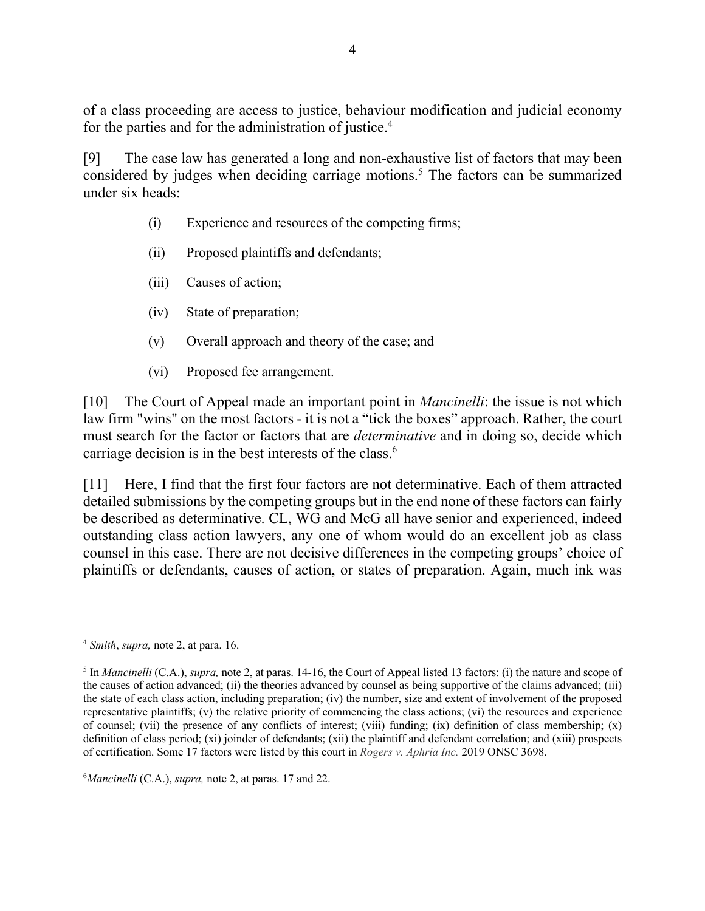of a class proceeding are access to justice, behaviour modification and judicial economy for the parties and for the administration of justice.<sup>4</sup>

[9] The case law has generated a long and non-exhaustive list of factors that may been considered by judges when deciding carriage motions.5 The factors can be summarized under six heads:

- (i) Experience and resources of the competing firms;
- (ii) Proposed plaintiffs and defendants;
- (iii) Causes of action;
- (iv) State of preparation;
- (v) Overall approach and theory of the case; and
- (vi) Proposed fee arrangement.

[10] The Court of Appeal made an important point in *Mancinelli*: the issue is not which law firm "wins" on the most factors - it is not a "tick the boxes" approach. Rather, the court must search for the factor or factors that are *determinative* and in doing so, decide which carriage decision is in the best interests of the class.<sup>6</sup>

[11] Here, I find that the first four factors are not determinative. Each of them attracted detailed submissions by the competing groups but in the end none of these factors can fairly be described as determinative. CL, WG and McG all have senior and experienced, indeed outstanding class action lawyers, any one of whom would do an excellent job as class counsel in this case. There are not decisive differences in the competing groups' choice of plaintiffs or defendants, causes of action, or states of preparation. Again, much ink was

6 *Mancinelli* (C.A.), *supra,* note 2, at paras. 17 and 22.

<sup>4</sup> *Smith*, *supra,* note 2, at para. 16.

<sup>5</sup> In *Mancinelli* (C.A.), *supra,* note 2, at paras. 14-16, the Court of Appeal listed 13 factors: (i) the nature and scope of the causes of action advanced; (ii) the theories advanced by counsel as being supportive of the claims advanced; (iii) the state of each class action, including preparation; (iv) the number, size and extent of involvement of the proposed representative plaintiffs; (v) the relative priority of commencing the class actions; (vi) the resources and experience of counsel; (vii) the presence of any conflicts of interest; (viii) funding; (ix) definition of class membership;  $(x)$ definition of class period; (xi) joinder of defendants; (xii) the plaintiff and defendant correlation; and (xiii) prospects of certification. Some 17 factors were listed by this court in *Rogers v. Aphria Inc.* 2019 ONSC 3698.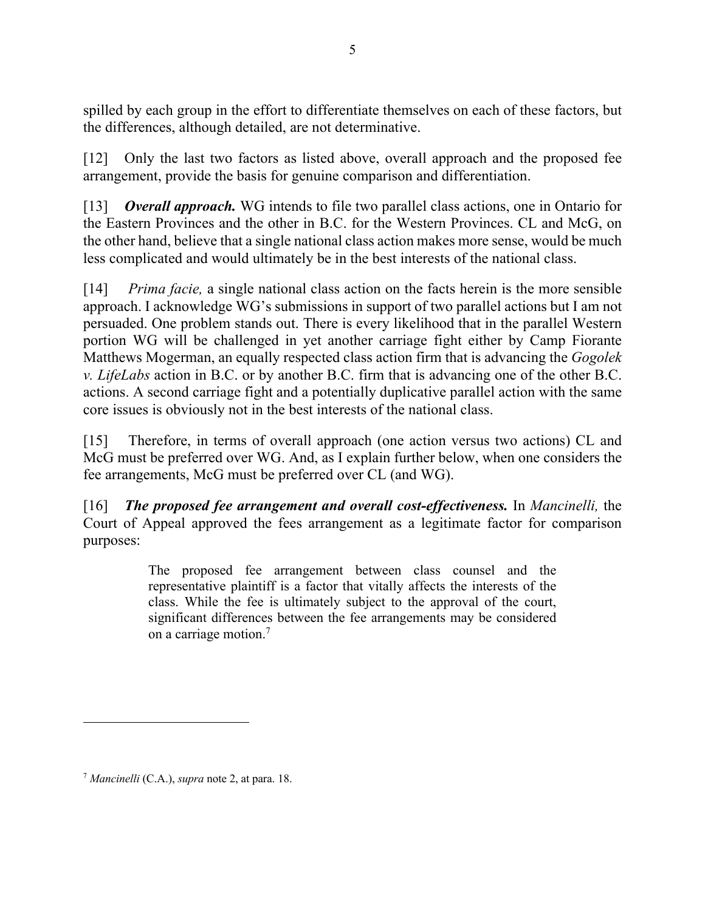spilled by each group in the effort to differentiate themselves on each of these factors, but the differences, although detailed, are not determinative.

[12] Only the last two factors as listed above, overall approach and the proposed fee arrangement, provide the basis for genuine comparison and differentiation.

[13] *Overall approach.* WG intends to file two parallel class actions, one in Ontario for the Eastern Provinces and the other in B.C. for the Western Provinces. CL and McG, on the other hand, believe that a single national class action makes more sense, would be much less complicated and would ultimately be in the best interests of the national class.

[14] *Prima facie,* a single national class action on the facts herein is the more sensible approach. I acknowledge WG's submissions in support of two parallel actions but I am not persuaded. One problem stands out. There is every likelihood that in the parallel Western portion WG will be challenged in yet another carriage fight either by Camp Fiorante Matthews Mogerman, an equally respected class action firm that is advancing the *Gogolek v. LifeLabs* action in B.C. or by another B.C. firm that is advancing one of the other B.C. actions. A second carriage fight and a potentially duplicative parallel action with the same core issues is obviously not in the best interests of the national class.

[15] Therefore, in terms of overall approach (one action versus two actions) CL and McG must be preferred over WG. And, as I explain further below, when one considers the fee arrangements, McG must be preferred over CL (and WG).

[16] *The proposed fee arrangement and overall cost-effectiveness.* In *Mancinelli,* the Court of Appeal approved the fees arrangement as a legitimate factor for comparison purposes:

> The proposed fee arrangement between class counsel and the representative plaintiff is a factor that vitally affects the interests of the class. While the fee is ultimately subject to the approval of the court, significant differences between the fee arrangements may be considered on a carriage motion.7

<sup>7</sup> *Mancinelli* (C.A.), *supra* note 2, at para. 18.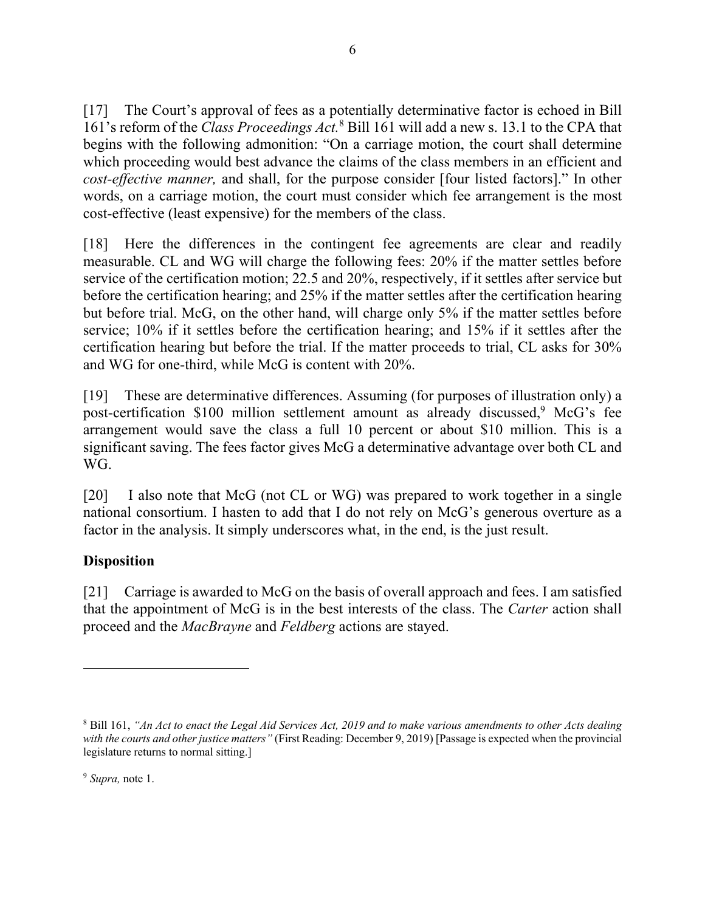[17] The Court's approval of fees as a potentially determinative factor is echoed in Bill 161's reform of the *Class Proceedings Act.*<sup>8</sup> Bill 161 will add a new s. 13.1 to the CPA that begins with the following admonition: "On a carriage motion, the court shall determine which proceeding would best advance the claims of the class members in an efficient and *cost-effective manner,* and shall, for the purpose consider [four listed factors]." In other words, on a carriage motion, the court must consider which fee arrangement is the most cost-effective (least expensive) for the members of the class.

[18] Here the differences in the contingent fee agreements are clear and readily measurable. CL and WG will charge the following fees: 20% if the matter settles before service of the certification motion; 22.5 and 20%, respectively, if it settles after service but before the certification hearing; and 25% if the matter settles after the certification hearing but before trial. McG, on the other hand, will charge only 5% if the matter settles before service; 10% if it settles before the certification hearing; and 15% if it settles after the certification hearing but before the trial. If the matter proceeds to trial, CL asks for 30% and WG for one-third, while McG is content with 20%.

[19] These are determinative differences. Assuming (for purposes of illustration only) a post-certification \$100 million settlement amount as already discussed, <sup>9</sup> McG's fee arrangement would save the class a full 10 percent or about \$10 million. This is a significant saving. The fees factor gives McG a determinative advantage over both CL and WG.

[20] I also note that McG (not CL or WG) was prepared to work together in a single national consortium. I hasten to add that I do not rely on McG's generous overture as a factor in the analysis. It simply underscores what, in the end, is the just result.

## **Disposition**

[21] Carriage is awarded to McG on the basis of overall approach and fees. I am satisfied that the appointment of McG is in the best interests of the class. The *Carter* action shall proceed and the *MacBrayne* and *Feldberg* actions are stayed.

<sup>8</sup> Bill 161, *"An Act to enact the Legal Aid Services Act, 2019 and to make various amendments to other Acts dealing with the courts and other justice matters"* (First Reading: December 9, 2019) [Passage is expected when the provincial legislature returns to normal sitting.]

<sup>9</sup> *Supra,* note 1.